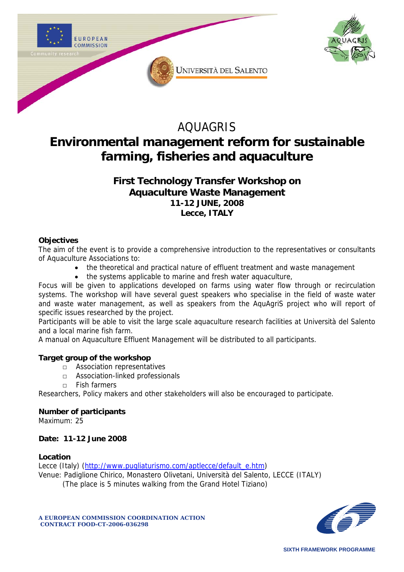



# AQUAGRIS **Environmental management reform for sustainable farming, fisheries and aquaculture**

## **First Technology Transfer Workshop on Aquaculture Waste Management 11-12 JUNE, 2008 Lecce, ITALY**

## **Objectives**

The aim of the event is to provide a comprehensive introduction to the representatives or consultants of Aquaculture Associations to:

- the theoretical and practical nature of effluent treatment and waste management
- the systems applicable to marine and fresh water aquaculture,

Focus will be given to applications developed on farms using water flow through or recirculation systems. The workshop will have several guest speakers who specialise in the field of waste water and waste water management, as well as speakers from the AquAgriS project who will report of specific issues researched by the project.

Participants will be able to visit the large scale aquaculture research facilities at Università del Salento and a local marine fish farm.

A manual on Aquaculture Effluent Management will be distributed to all participants.

## **Target group of the workshop**

- □ Association representatives
- □ Association-linked professionals
- □ Fish farmers

Researchers, Policy makers and other stakeholders will also be encouraged to participate.

## **Number of participants**

Maximum: 25

## **Date: 11-12 June 2008**

## **Location**

Lecce (Italy) ([http://www.pugliaturismo.com/aptlecce/default\\_e.htm\)](http://www.pugliaturismo.com/aptlecce/default_e.htm)

Venue: Padiglione Chirico, Monastero Olivetani, Università del Salento, LECCE (ITALY)

(The place is 5 minutes walking from the Grand Hotel Tiziano)



**A EUROPEAN COMMISSION COORDINATION ACTION CONTRACT FOOD-CT-2006-036298**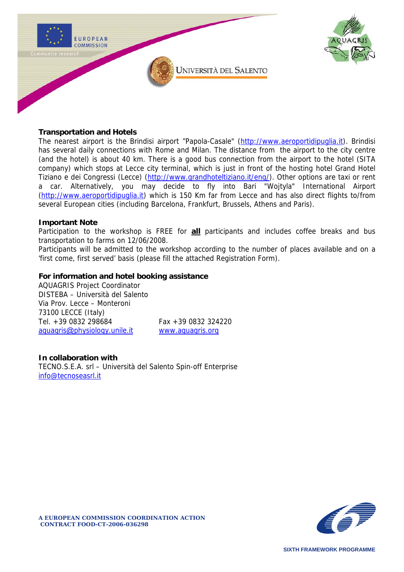



#### **Transportation and Hotels**

The nearest airport is the Brindisi airport "Papola-Casale" [\(http://www.aeroportidipuglia.it\)](http://www.aeroportidipuglia.it/). Brindisi has several daily connections with Rome and Milan. The distance from the airport to the city centre (and the hotel) is about 40 km. There is a good bus connection from the airport to the hotel (SITA company) which stops at Lecce city terminal, which is just in front of the hosting hotel Grand Hotel Tiziano e dei Congressi (Lecce) [\(http://www.grandhoteltiziano.it/eng/\)](http://www.grandhoteltiziano.it/eng/). Other options are taxi or rent a car. Alternatively, you may decide to fly into Bari "Wojtyla" International Airport ([http://www.aeroportidipuglia.it](http://www.aeroportidipuglia.it/)) which is 150 Km far from Lecce and has also direct flights to/from several European cities (including Barcelona, Frankfurt, Brussels, Athens and Paris).

#### **Important Note**

Participation to the workshop is FREE for **all** participants and includes coffee breaks and bus transportation to farms on 12/06/2008.

Participants will be admitted to the workshop according to the number of places available and on a 'first come, first served' basis (please fill the attached Registration Form).

#### **For information and hotel booking assistance**

AQUAGRIS Project Coordinator DISTEBA – Università del Salento Via Prov. Lecce – Monteroni 73100 LECCE (Italy) Tel. +39 0832 298684 Fax +39 0832 324220 aquagris@[physiology.unile.it](mailto:aquagris@physiology.unile.it) [www.aquagris.org](http://www.aquagris.org/)

## **In collaboration with**

TECNO.S.E.A. srl – Università del Salento Spin-off Enterprise [info@tecnoseasrl.it](mailto:info@tecnoseasrl.it) 

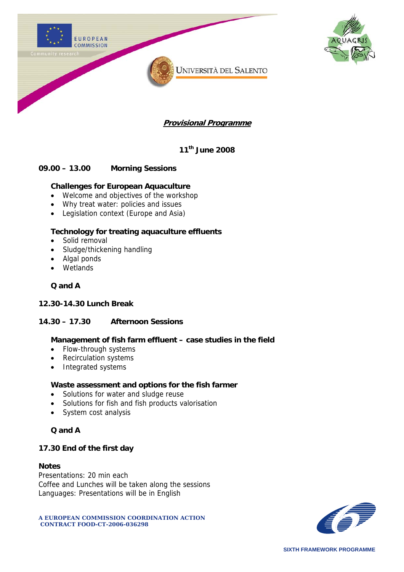

**11th June 2008** 

## **09.00 – 13.00 Morning Sessions**

## **Challenges for European Aquaculture**

- Welcome and objectives of the workshop
- Why treat water: policies and issues
- Legislation context (Europe and Asia)

## **Technology for treating aquaculture effluents**

- Solid removal
- Sludge/thickening handling
- Algal ponds
- Wetlands

#### **Q and A**

#### **12.30-14.30 Lunch Break**

## **14.30 – 17.30 Afternoon Sessions**

#### **Management of fish farm effluent – case studies in the field**

- Flow-through systems
- Recirculation systems
- Integrated systems

#### **Waste assessment and options for the fish farmer**

- Solutions for water and sludge reuse
- Solutions for fish and fish products valorisation
- System cost analysis

## **Q and A**

## **17.30 End of the first day**

#### **Notes**

Presentations: 20 min each Coffee and Lunches will be taken along the sessions Languages: Presentations will be in English

**A EUROPEAN COMMISSION COORDINATION ACTION CONTRACT FOOD-CT-2006-036298** 

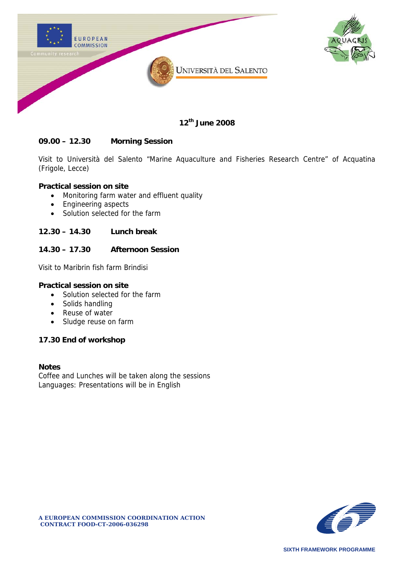



**12th June 2008** 

## **09.00 – 12.30 Morning Session**

Visit to Università del Salento "Marine Aquaculture and Fisheries Research Centre" of Acquatina (Frigole, Lecce)

## **Practical session on site**

- Monitoring farm water and effluent quality
- Engineering aspects
- Solution selected for the farm

#### **12.30 – 14.30 Lunch break**

## **14.30 – 17.30 Afternoon Session**

Visit to Maribrin fish farm Brindisi

#### **Practical session on site**

- Solution selected for the farm
- Solids handling
- Reuse of water
- Sludge reuse on farm

#### **17.30 End of workshop**

#### **Notes**

Coffee and Lunches will be taken along the sessions Languages: Presentations will be in English